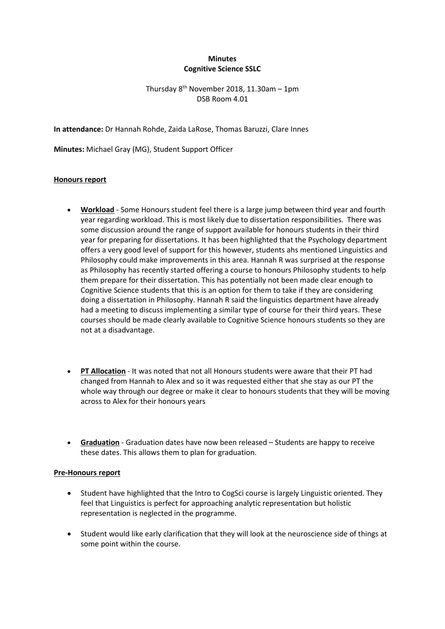## **Minutes Cognitive Science SSLC**

Thursday  $8^{th}$  November 2018, 11.30am - 1pm DSB Room 4.01

**In attendance:** Dr Hannah Rohde, Zaida LaRose, Thomas Baruzzi, Clare Innes

**Minutes:** Michael Gray (MG), Student Support Officer

## **Honours report**

- **Workload** Some Honours student feel there is a large jump between third year and fourth year regarding workload. This is most likely due to dissertation responsibilities. There was some discussion around the range of support available for honours students in their third year for preparing for dissertations. It has been highlighted that the Psychology department offers a very good level of support for this however, students ahs mentioned Linguistics and Philosophy could make improvements in this area. Hannah R was surprised at the response as Philosophy has recently started offering a course to honours Philosophy students to help them prepare for their dissertation. This has potentially not been made clear enough to Cognitive Science students that this is an option for them to take if they are considering doing a dissertation in Philosophy. Hannah R said the linguistics department have already had a meeting to discuss implementing a similar type of course for their third years. These courses should be made clearly available to Cognitive Science honours students so they are not at a disadvantage.
- **PT Allocation** It was noted that not all Honours students were aware that their PT had changed from Hannah to Alex and so it was requested either that she stay as our PT the whole way through our degree or make it clear to honours students that they will be moving across to Alex for their honours years
- **Graduation** Graduation dates have now been released Students are happy to receive these dates. This allows them to plan for graduation.

## **Pre-Honours report**

- Student have highlighted that the Intro to CogSci course is largely Linguistic oriented. They feel that Linguistics is perfect for approaching analytic representation but holistic representation is neglected in the programme.
- Student would like early clarification that they will look at the neuroscience side of things at some point within the course.